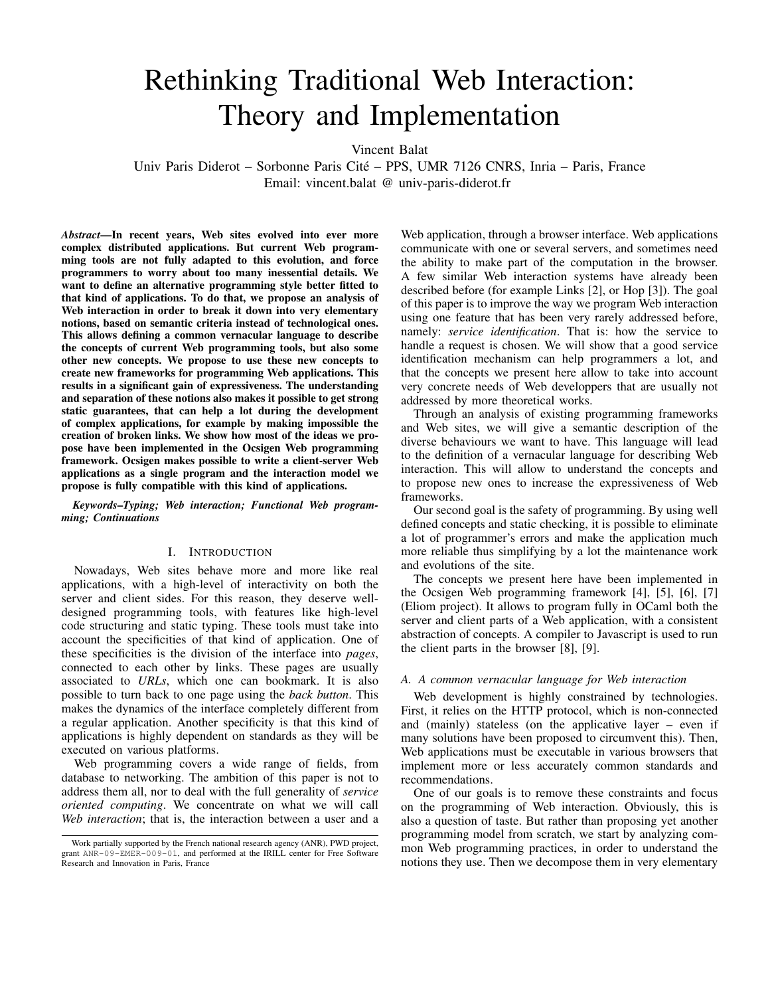# Rethinking Traditional Web Interaction: Theory and Implementation

Vincent Balat

Univ Paris Diderot – Sorbonne Paris Cite – PPS, UMR 7126 CNRS, Inria – Paris, France ´ Email: vincent.balat @ univ-paris-diderot.fr

*Abstract*—In recent years, Web sites evolved into ever more complex distributed applications. But current Web programming tools are not fully adapted to this evolution, and force programmers to worry about too many inessential details. We want to define an alternative programming style better fitted to that kind of applications. To do that, we propose an analysis of Web interaction in order to break it down into very elementary notions, based on semantic criteria instead of technological ones. This allows defining a common vernacular language to describe the concepts of current Web programming tools, but also some other new concepts. We propose to use these new concepts to create new frameworks for programming Web applications. This results in a significant gain of expressiveness. The understanding and separation of these notions also makes it possible to get strong static guarantees, that can help a lot during the development of complex applications, for example by making impossible the creation of broken links. We show how most of the ideas we propose have been implemented in the Ocsigen Web programming framework. Ocsigen makes possible to write a client-server Web applications as a single program and the interaction model we propose is fully compatible with this kind of applications.

*Keywords*–*Typing; Web interaction; Functional Web programming; Continuations*

# I. INTRODUCTION

Nowadays, Web sites behave more and more like real applications, with a high-level of interactivity on both the server and client sides. For this reason, they deserve welldesigned programming tools, with features like high-level code structuring and static typing. These tools must take into account the specificities of that kind of application. One of these specificities is the division of the interface into *pages*, connected to each other by links. These pages are usually associated to *URLs*, which one can bookmark. It is also possible to turn back to one page using the *back button*. This makes the dynamics of the interface completely different from a regular application. Another specificity is that this kind of applications is highly dependent on standards as they will be executed on various platforms.

Web programming covers a wide range of fields, from database to networking. The ambition of this paper is not to address them all, nor to deal with the full generality of *service oriented computing*. We concentrate on what we will call *Web interaction*; that is, the interaction between a user and a Web application, through a browser interface. Web applications communicate with one or several servers, and sometimes need the ability to make part of the computation in the browser. A few similar Web interaction systems have already been described before (for example Links [2], or Hop [3]). The goal of this paper is to improve the way we program Web interaction using one feature that has been very rarely addressed before, namely: *service identification*. That is: how the service to handle a request is chosen. We will show that a good service identification mechanism can help programmers a lot, and that the concepts we present here allow to take into account very concrete needs of Web developpers that are usually not addressed by more theoretical works.

Through an analysis of existing programming frameworks and Web sites, we will give a semantic description of the diverse behaviours we want to have. This language will lead to the definition of a vernacular language for describing Web interaction. This will allow to understand the concepts and to propose new ones to increase the expressiveness of Web frameworks.

Our second goal is the safety of programming. By using well defined concepts and static checking, it is possible to eliminate a lot of programmer's errors and make the application much more reliable thus simplifying by a lot the maintenance work and evolutions of the site.

The concepts we present here have been implemented in the Ocsigen Web programming framework [4], [5], [6], [7] (Eliom project). It allows to program fully in OCaml both the server and client parts of a Web application, with a consistent abstraction of concepts. A compiler to Javascript is used to run the client parts in the browser [8], [9].

#### *A. A common vernacular language for Web interaction*

Web development is highly constrained by technologies. First, it relies on the HTTP protocol, which is non-connected and (mainly) stateless (on the applicative layer – even if many solutions have been proposed to circumvent this). Then, Web applications must be executable in various browsers that implement more or less accurately common standards and recommendations.

One of our goals is to remove these constraints and focus on the programming of Web interaction. Obviously, this is also a question of taste. But rather than proposing yet another programming model from scratch, we start by analyzing common Web programming practices, in order to understand the notions they use. Then we decompose them in very elementary

Work partially supported by the French national research agency (ANR), PWD project, grant ANR-09-EMER-009-01, and performed at the IRILL center for Free Software Research and Innovation in Paris, France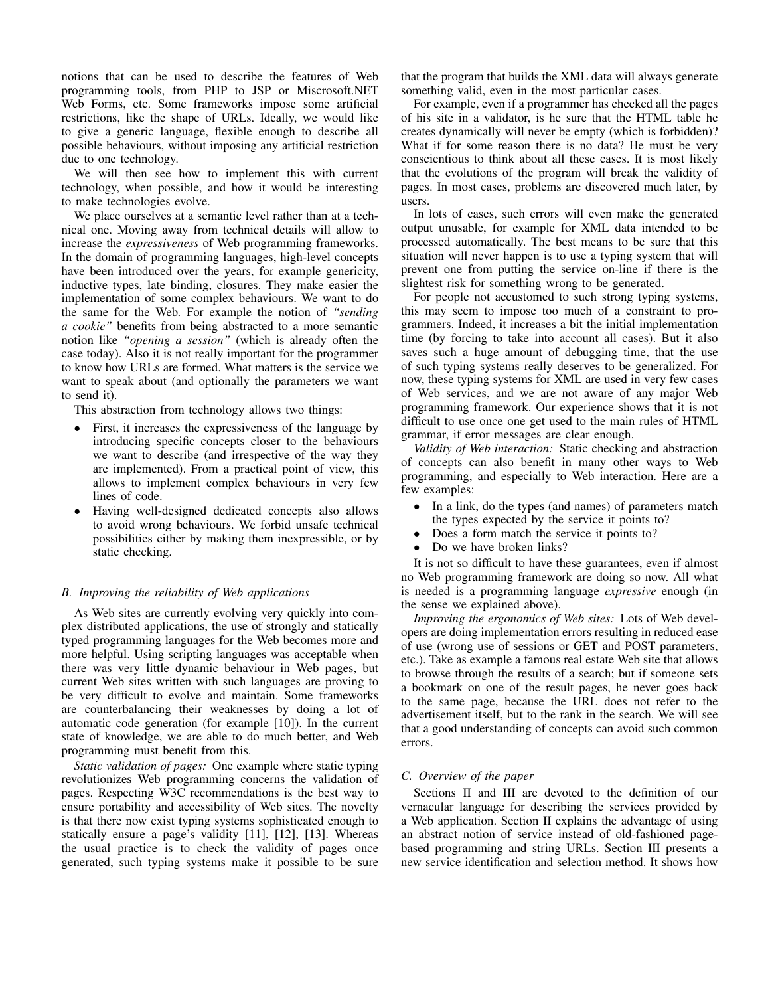notions that can be used to describe the features of Web programming tools, from PHP to JSP or Miscrosoft.NET Web Forms, etc. Some frameworks impose some artificial restrictions, like the shape of URLs. Ideally, we would like to give a generic language, flexible enough to describe all possible behaviours, without imposing any artificial restriction due to one technology.

We will then see how to implement this with current technology, when possible, and how it would be interesting to make technologies evolve.

We place ourselves at a semantic level rather than at a technical one. Moving away from technical details will allow to increase the *expressiveness* of Web programming frameworks. In the domain of programming languages, high-level concepts have been introduced over the years, for example genericity, inductive types, late binding, closures. They make easier the implementation of some complex behaviours. We want to do the same for the Web. For example the notion of *"sending a cookie"* benefits from being abstracted to a more semantic notion like *"opening a session"* (which is already often the case today). Also it is not really important for the programmer to know how URLs are formed. What matters is the service we want to speak about (and optionally the parameters we want to send it).

This abstraction from technology allows two things:

- First, it increases the expressiveness of the language by introducing specific concepts closer to the behaviours we want to describe (and irrespective of the way they are implemented). From a practical point of view, this allows to implement complex behaviours in very few lines of code.
- Having well-designed dedicated concepts also allows to avoid wrong behaviours. We forbid unsafe technical possibilities either by making them inexpressible, or by static checking.

## *B. Improving the reliability of Web applications*

As Web sites are currently evolving very quickly into complex distributed applications, the use of strongly and statically typed programming languages for the Web becomes more and more helpful. Using scripting languages was acceptable when there was very little dynamic behaviour in Web pages, but current Web sites written with such languages are proving to be very difficult to evolve and maintain. Some frameworks are counterbalancing their weaknesses by doing a lot of automatic code generation (for example [10]). In the current state of knowledge, we are able to do much better, and Web programming must benefit from this.

*Static validation of pages:* One example where static typing revolutionizes Web programming concerns the validation of pages. Respecting W3C recommendations is the best way to ensure portability and accessibility of Web sites. The novelty is that there now exist typing systems sophisticated enough to statically ensure a page's validity [11], [12], [13]. Whereas the usual practice is to check the validity of pages once generated, such typing systems make it possible to be sure that the program that builds the XML data will always generate something valid, even in the most particular cases.

For example, even if a programmer has checked all the pages of his site in a validator, is he sure that the HTML table he creates dynamically will never be empty (which is forbidden)? What if for some reason there is no data? He must be very conscientious to think about all these cases. It is most likely that the evolutions of the program will break the validity of pages. In most cases, problems are discovered much later, by users.

In lots of cases, such errors will even make the generated output unusable, for example for XML data intended to be processed automatically. The best means to be sure that this situation will never happen is to use a typing system that will prevent one from putting the service on-line if there is the slightest risk for something wrong to be generated.

For people not accustomed to such strong typing systems, this may seem to impose too much of a constraint to programmers. Indeed, it increases a bit the initial implementation time (by forcing to take into account all cases). But it also saves such a huge amount of debugging time, that the use of such typing systems really deserves to be generalized. For now, these typing systems for XML are used in very few cases of Web services, and we are not aware of any major Web programming framework. Our experience shows that it is not difficult to use once one get used to the main rules of HTML grammar, if error messages are clear enough.

*Validity of Web interaction:* Static checking and abstraction of concepts can also benefit in many other ways to Web programming, and especially to Web interaction. Here are a few examples:

- In a link, do the types (and names) of parameters match the types expected by the service it points to?
- Does a form match the service it points to?
- Do we have broken links?

It is not so difficult to have these guarantees, even if almost no Web programming framework are doing so now. All what is needed is a programming language *expressive* enough (in the sense we explained above).

*Improving the ergonomics of Web sites:* Lots of Web developers are doing implementation errors resulting in reduced ease of use (wrong use of sessions or GET and POST parameters, etc.). Take as example a famous real estate Web site that allows to browse through the results of a search; but if someone sets a bookmark on one of the result pages, he never goes back to the same page, because the URL does not refer to the advertisement itself, but to the rank in the search. We will see that a good understanding of concepts can avoid such common errors.

#### *C. Overview of the paper*

Sections II and III are devoted to the definition of our vernacular language for describing the services provided by a Web application. Section II explains the advantage of using an abstract notion of service instead of old-fashioned pagebased programming and string URLs. Section III presents a new service identification and selection method. It shows how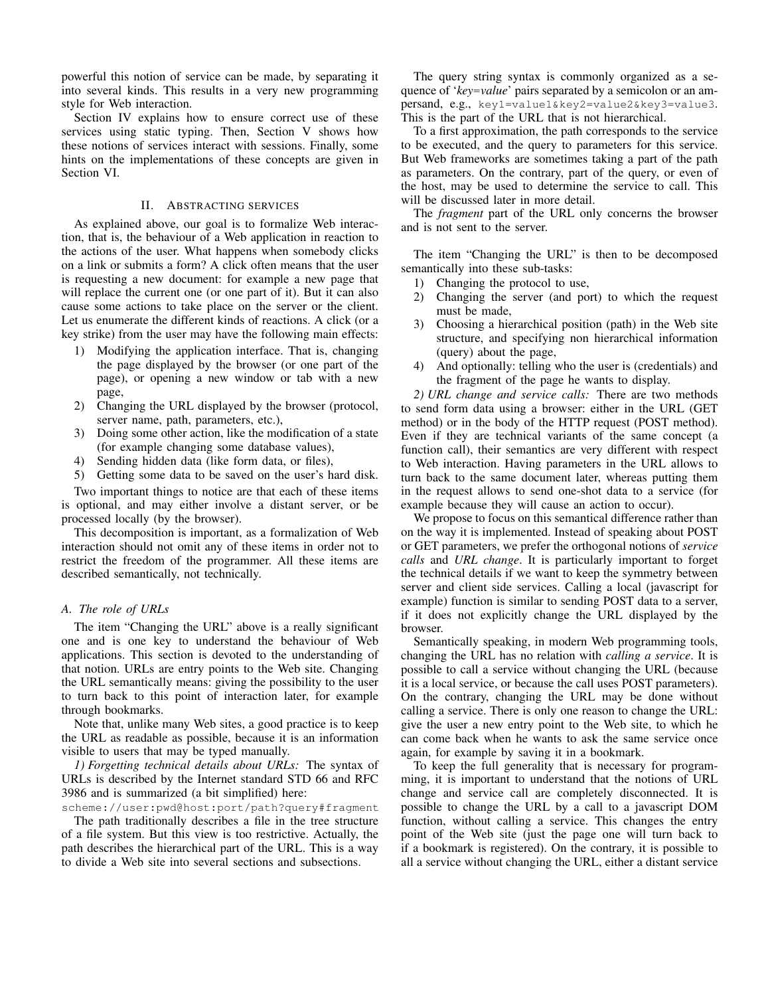powerful this notion of service can be made, by separating it into several kinds. This results in a very new programming style for Web interaction.

Section IV explains how to ensure correct use of these services using static typing. Then, Section V shows how these notions of services interact with sessions. Finally, some hints on the implementations of these concepts are given in Section VI.

## II. ABSTRACTING SERVICES

As explained above, our goal is to formalize Web interaction, that is, the behaviour of a Web application in reaction to the actions of the user. What happens when somebody clicks on a link or submits a form? A click often means that the user is requesting a new document: for example a new page that will replace the current one (or one part of it). But it can also cause some actions to take place on the server or the client. Let us enumerate the different kinds of reactions. A click (or a key strike) from the user may have the following main effects:

- 1) Modifying the application interface. That is, changing the page displayed by the browser (or one part of the page), or opening a new window or tab with a new page,
- 2) Changing the URL displayed by the browser (protocol, server name, path, parameters, etc.),
- 3) Doing some other action, like the modification of a state (for example changing some database values),
- 4) Sending hidden data (like form data, or files),

5) Getting some data to be saved on the user's hard disk. Two important things to notice are that each of these items is optional, and may either involve a distant server, or be processed locally (by the browser).

This decomposition is important, as a formalization of Web interaction should not omit any of these items in order not to restrict the freedom of the programmer. All these items are described semantically, not technically.

#### *A. The role of URLs*

The item "Changing the URL" above is a really significant one and is one key to understand the behaviour of Web applications. This section is devoted to the understanding of that notion. URLs are entry points to the Web site. Changing the URL semantically means: giving the possibility to the user to turn back to this point of interaction later, for example through bookmarks.

Note that, unlike many Web sites, a good practice is to keep the URL as readable as possible, because it is an information visible to users that may be typed manually.

*1) Forgetting technical details about URLs:* The syntax of URLs is described by the Internet standard STD 66 and RFC 3986 and is summarized (a bit simplified) here:

scheme://user:pwd@host:port/path?query#fragment

The path traditionally describes a file in the tree structure of a file system. But this view is too restrictive. Actually, the path describes the hierarchical part of the URL. This is a way to divide a Web site into several sections and subsections.

The query string syntax is commonly organized as a sequence of '*key*=*value*' pairs separated by a semicolon or an ampersand, e.g., key1=value1&key2=value2&key3=value3. This is the part of the URL that is not hierarchical.

To a first approximation, the path corresponds to the service to be executed, and the query to parameters for this service. But Web frameworks are sometimes taking a part of the path as parameters. On the contrary, part of the query, or even of the host, may be used to determine the service to call. This will be discussed later in more detail.

The *fragment* part of the URL only concerns the browser and is not sent to the server.

The item "Changing the URL" is then to be decomposed semantically into these sub-tasks:

- 1) Changing the protocol to use,
- 2) Changing the server (and port) to which the request must be made,
- 3) Choosing a hierarchical position (path) in the Web site structure, and specifying non hierarchical information (query) about the page,
- 4) And optionally: telling who the user is (credentials) and the fragment of the page he wants to display.

*2) URL change and service calls:* There are two methods to send form data using a browser: either in the URL (GET method) or in the body of the HTTP request (POST method). Even if they are technical variants of the same concept (a function call), their semantics are very different with respect to Web interaction. Having parameters in the URL allows to turn back to the same document later, whereas putting them in the request allows to send one-shot data to a service (for example because they will cause an action to occur).

We propose to focus on this semantical difference rather than on the way it is implemented. Instead of speaking about POST or GET parameters, we prefer the orthogonal notions of *service calls* and *URL change*. It is particularly important to forget the technical details if we want to keep the symmetry between server and client side services. Calling a local (javascript for example) function is similar to sending POST data to a server, if it does not explicitly change the URL displayed by the browser.

Semantically speaking, in modern Web programming tools, changing the URL has no relation with *calling a service*. It is possible to call a service without changing the URL (because it is a local service, or because the call uses POST parameters). On the contrary, changing the URL may be done without calling a service. There is only one reason to change the URL: give the user a new entry point to the Web site, to which he can come back when he wants to ask the same service once again, for example by saving it in a bookmark.

To keep the full generality that is necessary for programming, it is important to understand that the notions of URL change and service call are completely disconnected. It is possible to change the URL by a call to a javascript DOM function, without calling a service. This changes the entry point of the Web site (just the page one will turn back to if a bookmark is registered). On the contrary, it is possible to all a service without changing the URL, either a distant service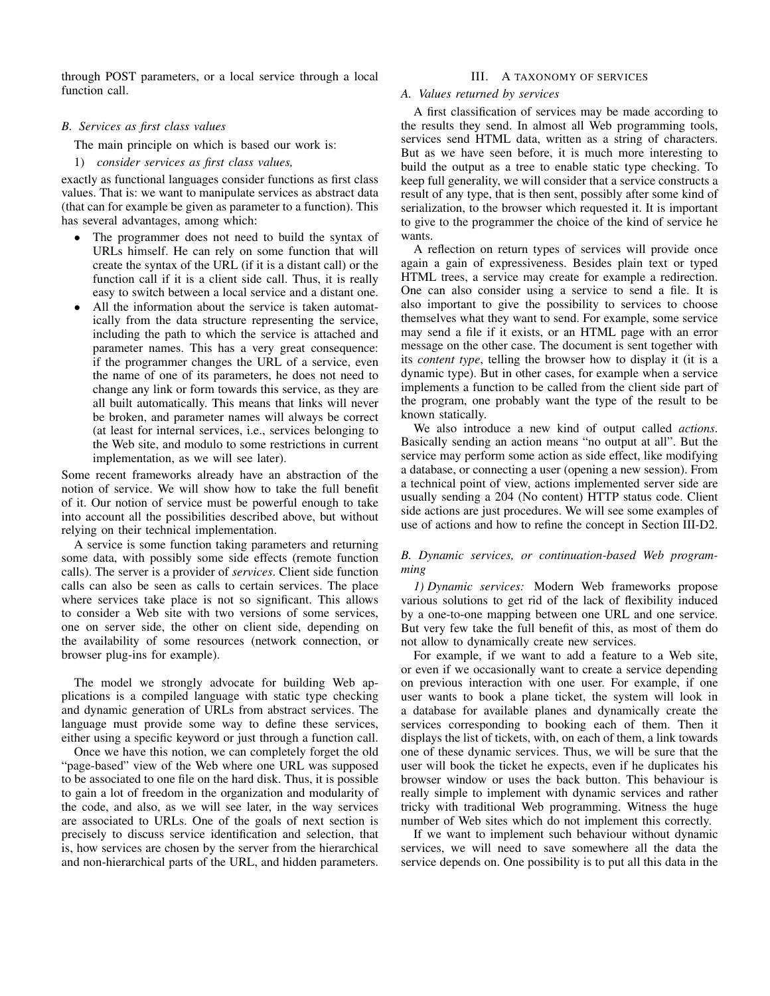through POST parameters, or a local service through a local function call.

## *B. Services as first class values*

The main principle on which is based our work is:

#### 1) *consider services as first class values,*

exactly as functional languages consider functions as first class values. That is: we want to manipulate services as abstract data (that can for example be given as parameter to a function). This has several advantages, among which:

- The programmer does not need to build the syntax of URLs himself. He can rely on some function that will create the syntax of the URL (if it is a distant call) or the function call if it is a client side call. Thus, it is really easy to switch between a local service and a distant one.
- All the information about the service is taken automatically from the data structure representing the service, including the path to which the service is attached and parameter names. This has a very great consequence: if the programmer changes the URL of a service, even the name of one of its parameters, he does not need to change any link or form towards this service, as they are all built automatically. This means that links will never be broken, and parameter names will always be correct (at least for internal services, i.e., services belonging to the Web site, and modulo to some restrictions in current implementation, as we will see later).

Some recent frameworks already have an abstraction of the notion of service. We will show how to take the full benefit of it. Our notion of service must be powerful enough to take into account all the possibilities described above, but without relying on their technical implementation.

A service is some function taking parameters and returning some data, with possibly some side effects (remote function calls). The server is a provider of *services*. Client side function calls can also be seen as calls to certain services. The place where services take place is not so significant. This allows to consider a Web site with two versions of some services, one on server side, the other on client side, depending on the availability of some resources (network connection, or browser plug-ins for example).

The model we strongly advocate for building Web applications is a compiled language with static type checking and dynamic generation of URLs from abstract services. The language must provide some way to define these services, either using a specific keyword or just through a function call.

Once we have this notion, we can completely forget the old "page-based" view of the Web where one URL was supposed to be associated to one file on the hard disk. Thus, it is possible to gain a lot of freedom in the organization and modularity of the code, and also, as we will see later, in the way services are associated to URLs. One of the goals of next section is precisely to discuss service identification and selection, that is, how services are chosen by the server from the hierarchical and non-hierarchical parts of the URL, and hidden parameters.

## III. A TAXONOMY OF SERVICES

#### *A. Values returned by services*

A first classification of services may be made according to the results they send. In almost all Web programming tools, services send HTML data, written as a string of characters. But as we have seen before, it is much more interesting to build the output as a tree to enable static type checking. To keep full generality, we will consider that a service constructs a result of any type, that is then sent, possibly after some kind of serialization, to the browser which requested it. It is important to give to the programmer the choice of the kind of service he wants.

A reflection on return types of services will provide once again a gain of expressiveness. Besides plain text or typed HTML trees, a service may create for example a redirection. One can also consider using a service to send a file. It is also important to give the possibility to services to choose themselves what they want to send. For example, some service may send a file if it exists, or an HTML page with an error message on the other case. The document is sent together with its *content type*, telling the browser how to display it (it is a dynamic type). But in other cases, for example when a service implements a function to be called from the client side part of the program, one probably want the type of the result to be known statically.

We also introduce a new kind of output called *actions*. Basically sending an action means "no output at all". But the service may perform some action as side effect, like modifying a database, or connecting a user (opening a new session). From a technical point of view, actions implemented server side are usually sending a 204 (No content) HTTP status code. Client side actions are just procedures. We will see some examples of use of actions and how to refine the concept in Section III-D2.

# *B. Dynamic services, or continuation-based Web programming*

*1) Dynamic services:* Modern Web frameworks propose various solutions to get rid of the lack of flexibility induced by a one-to-one mapping between one URL and one service. But very few take the full benefit of this, as most of them do not allow to dynamically create new services.

For example, if we want to add a feature to a Web site, or even if we occasionally want to create a service depending on previous interaction with one user. For example, if one user wants to book a plane ticket, the system will look in a database for available planes and dynamically create the services corresponding to booking each of them. Then it displays the list of tickets, with, on each of them, a link towards one of these dynamic services. Thus, we will be sure that the user will book the ticket he expects, even if he duplicates his browser window or uses the back button. This behaviour is really simple to implement with dynamic services and rather tricky with traditional Web programming. Witness the huge number of Web sites which do not implement this correctly.

If we want to implement such behaviour without dynamic services, we will need to save somewhere all the data the service depends on. One possibility is to put all this data in the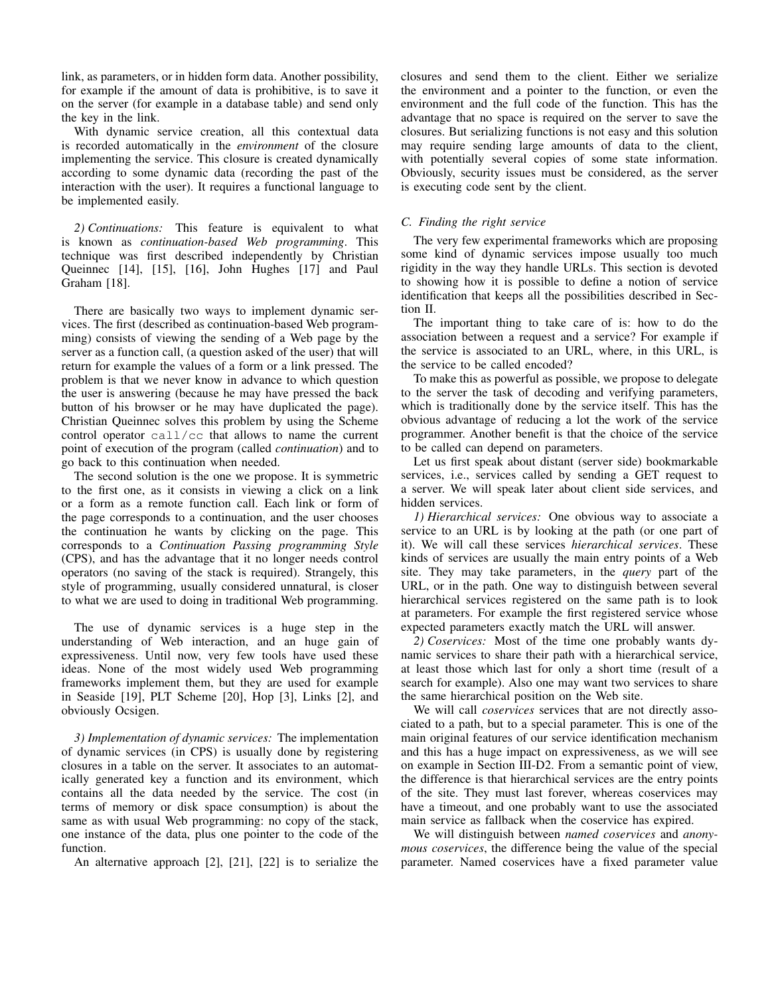link, as parameters, or in hidden form data. Another possibility, for example if the amount of data is prohibitive, is to save it on the server (for example in a database table) and send only the key in the link.

With dynamic service creation, all this contextual data is recorded automatically in the *environment* of the closure implementing the service. This closure is created dynamically according to some dynamic data (recording the past of the interaction with the user). It requires a functional language to be implemented easily.

*2) Continuations:* This feature is equivalent to what is known as *continuation-based Web programming*. This technique was first described independently by Christian Queinnec [14], [15], [16], John Hughes [17] and Paul Graham [18].

There are basically two ways to implement dynamic services. The first (described as continuation-based Web programming) consists of viewing the sending of a Web page by the server as a function call, (a question asked of the user) that will return for example the values of a form or a link pressed. The problem is that we never know in advance to which question the user is answering (because he may have pressed the back button of his browser or he may have duplicated the page). Christian Queinnec solves this problem by using the Scheme control operator call/cc that allows to name the current point of execution of the program (called *continuation*) and to go back to this continuation when needed.

The second solution is the one we propose. It is symmetric to the first one, as it consists in viewing a click on a link or a form as a remote function call. Each link or form of the page corresponds to a continuation, and the user chooses the continuation he wants by clicking on the page. This corresponds to a *Continuation Passing programming Style* (CPS), and has the advantage that it no longer needs control operators (no saving of the stack is required). Strangely, this style of programming, usually considered unnatural, is closer to what we are used to doing in traditional Web programming.

The use of dynamic services is a huge step in the understanding of Web interaction, and an huge gain of expressiveness. Until now, very few tools have used these ideas. None of the most widely used Web programming frameworks implement them, but they are used for example in Seaside [19], PLT Scheme [20], Hop [3], Links [2], and obviously Ocsigen.

*3) Implementation of dynamic services:* The implementation of dynamic services (in CPS) is usually done by registering closures in a table on the server. It associates to an automatically generated key a function and its environment, which contains all the data needed by the service. The cost (in terms of memory or disk space consumption) is about the same as with usual Web programming: no copy of the stack, one instance of the data, plus one pointer to the code of the function.

An alternative approach [2], [21], [22] is to serialize the

closures and send them to the client. Either we serialize the environment and a pointer to the function, or even the environment and the full code of the function. This has the advantage that no space is required on the server to save the closures. But serializing functions is not easy and this solution may require sending large amounts of data to the client, with potentially several copies of some state information. Obviously, security issues must be considered, as the server is executing code sent by the client.

# *C. Finding the right service*

The very few experimental frameworks which are proposing some kind of dynamic services impose usually too much rigidity in the way they handle URLs. This section is devoted to showing how it is possible to define a notion of service identification that keeps all the possibilities described in Section II.

The important thing to take care of is: how to do the association between a request and a service? For example if the service is associated to an URL, where, in this URL, is the service to be called encoded?

To make this as powerful as possible, we propose to delegate to the server the task of decoding and verifying parameters, which is traditionally done by the service itself. This has the obvious advantage of reducing a lot the work of the service programmer. Another benefit is that the choice of the service to be called can depend on parameters.

Let us first speak about distant (server side) bookmarkable services, i.e., services called by sending a GET request to a server. We will speak later about client side services, and hidden services.

*1) Hierarchical services:* One obvious way to associate a service to an URL is by looking at the path (or one part of it). We will call these services *hierarchical services*. These kinds of services are usually the main entry points of a Web site. They may take parameters, in the *query* part of the URL, or in the path. One way to distinguish between several hierarchical services registered on the same path is to look at parameters. For example the first registered service whose expected parameters exactly match the URL will answer.

*2) Coservices:* Most of the time one probably wants dynamic services to share their path with a hierarchical service, at least those which last for only a short time (result of a search for example). Also one may want two services to share the same hierarchical position on the Web site.

We will call *coservices* services that are not directly associated to a path, but to a special parameter. This is one of the main original features of our service identification mechanism and this has a huge impact on expressiveness, as we will see on example in Section III-D2. From a semantic point of view, the difference is that hierarchical services are the entry points of the site. They must last forever, whereas coservices may have a timeout, and one probably want to use the associated main service as fallback when the coservice has expired.

We will distinguish between *named coservices* and *anonymous coservices*, the difference being the value of the special parameter. Named coservices have a fixed parameter value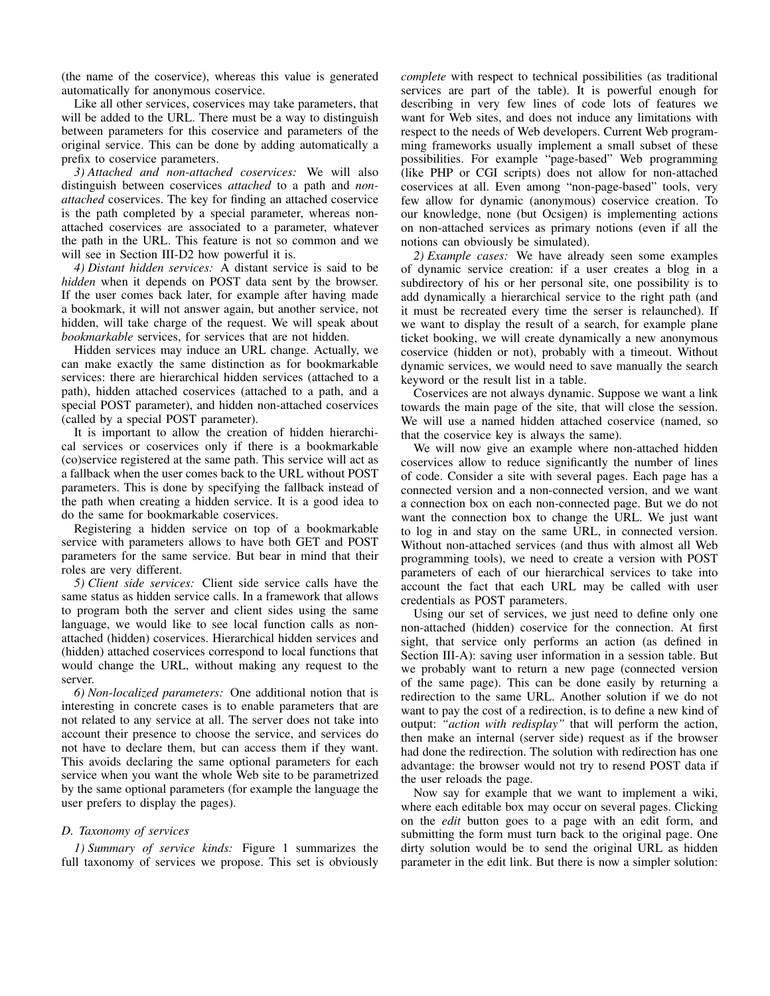(the name of the coservice), whereas this value is generated automatically for anonymous coservice.

Like all other services, coservices may take parameters, that will be added to the URL. There must be a way to distinguish between parameters for this coservice and parameters of the original service. This can be done by adding automatically a prefix to coservice parameters.

*3) Attached and non-attached coservices:* We will also distinguish between coservices *attached* to a path and *nonattached* coservices. The key for finding an attached coservice is the path completed by a special parameter, whereas nonattached coservices are associated to a parameter, whatever the path in the URL. This feature is not so common and we will see in Section III-D2 how powerful it is.

*4) Distant hidden services:* A distant service is said to be *hidden* when it depends on POST data sent by the browser. If the user comes back later, for example after having made a bookmark, it will not answer again, but another service, not hidden, will take charge of the request. We will speak about *bookmarkable* services, for services that are not hidden.

Hidden services may induce an URL change. Actually, we can make exactly the same distinction as for bookmarkable services: there are hierarchical hidden services (attached to a path), hidden attached coservices (attached to a path, and a special POST parameter), and hidden non-attached coservices (called by a special POST parameter).

It is important to allow the creation of hidden hierarchical services or coservices only if there is a bookmarkable (co)service registered at the same path. This service will act as a fallback when the user comes back to the URL without POST parameters. This is done by specifying the fallback instead of the path when creating a hidden service. It is a good idea to do the same for bookmarkable coservices.

Registering a hidden service on top of a bookmarkable service with parameters allows to have both GET and POST parameters for the same service. But bear in mind that their roles are very different.

*5) Client side services:* Client side service calls have the same status as hidden service calls. In a framework that allows to program both the server and client sides using the same language, we would like to see local function calls as nonattached (hidden) coservices. Hierarchical hidden services and (hidden) attached coservices correspond to local functions that would change the URL, without making any request to the server.

*6) Non-localized parameters:* One additional notion that is interesting in concrete cases is to enable parameters that are not related to any service at all. The server does not take into account their presence to choose the service, and services do not have to declare them, but can access them if they want. This avoids declaring the same optional parameters for each service when you want the whole Web site to be parametrized by the same optional parameters (for example the language the user prefers to display the pages).

## *D. Taxonomy of services*

*1) Summary of service kinds:* Figure 1 summarizes the full taxonomy of services we propose. This set is obviously *complete* with respect to technical possibilities (as traditional services are part of the table). It is powerful enough for describing in very few lines of code lots of features we want for Web sites, and does not induce any limitations with respect to the needs of Web developers. Current Web programming frameworks usually implement a small subset of these possibilities. For example "page-based" Web programming (like PHP or CGI scripts) does not allow for non-attached coservices at all. Even among "non-page-based" tools, very few allow for dynamic (anonymous) coservice creation. To our knowledge, none (but Ocsigen) is implementing actions on non-attached services as primary notions (even if all the notions can obviously be simulated).

*2) Example cases:* We have already seen some examples of dynamic service creation: if a user creates a blog in a subdirectory of his or her personal site, one possibility is to add dynamically a hierarchical service to the right path (and it must be recreated every time the serser is relaunched). If we want to display the result of a search, for example plane ticket booking, we will create dynamically a new anonymous coservice (hidden or not), probably with a timeout. Without dynamic services, we would need to save manually the search keyword or the result list in a table.

Coservices are not always dynamic. Suppose we want a link towards the main page of the site, that will close the session. We will use a named hidden attached coservice (named, so that the coservice key is always the same).

We will now give an example where non-attached hidden coservices allow to reduce significantly the number of lines of code. Consider a site with several pages. Each page has a connected version and a non-connected version, and we want a connection box on each non-connected page. But we do not want the connection box to change the URL. We just want to log in and stay on the same URL, in connected version. Without non-attached services (and thus with almost all Web programming tools), we need to create a version with POST parameters of each of our hierarchical services to take into account the fact that each URL may be called with user credentials as POST parameters.

Using our set of services, we just need to define only one non-attached (hidden) coservice for the connection. At first sight, that service only performs an action (as defined in Section III-A): saving user information in a session table. But we probably want to return a new page (connected version of the same page). This can be done easily by returning a redirection to the same URL. Another solution if we do not want to pay the cost of a redirection, is to define a new kind of output: *"action with redisplay"* that will perform the action, then make an internal (server side) request as if the browser had done the redirection. The solution with redirection has one advantage: the browser would not try to resend POST data if the user reloads the page.

Now say for example that we want to implement a wiki, where each editable box may occur on several pages. Clicking on the *edit* button goes to a page with an edit form, and submitting the form must turn back to the original page. One dirty solution would be to send the original URL as hidden parameter in the edit link. But there is now a simpler solution: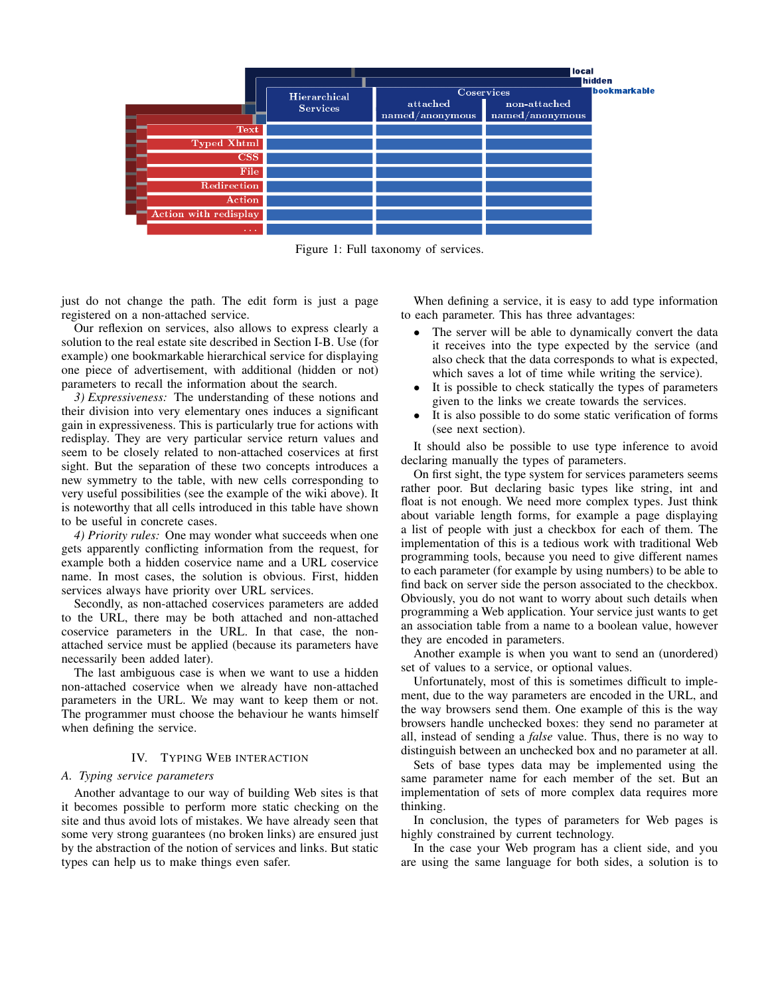

Figure 1: Full taxonomy of services.

just do not change the path. The edit form is just a page registered on a non-attached service.

Our reflexion on services, also allows to express clearly a solution to the real estate site described in Section I-B. Use (for example) one bookmarkable hierarchical service for displaying one piece of advertisement, with additional (hidden or not) parameters to recall the information about the search.

*3) Expressiveness:* The understanding of these notions and their division into very elementary ones induces a significant gain in expressiveness. This is particularly true for actions with redisplay. They are very particular service return values and seem to be closely related to non-attached coservices at first sight. But the separation of these two concepts introduces a new symmetry to the table, with new cells corresponding to very useful possibilities (see the example of the wiki above). It is noteworthy that all cells introduced in this table have shown to be useful in concrete cases.

*4) Priority rules:* One may wonder what succeeds when one gets apparently conflicting information from the request, for example both a hidden coservice name and a URL coservice name. In most cases, the solution is obvious. First, hidden services always have priority over URL services.

Secondly, as non-attached coservices parameters are added to the URL, there may be both attached and non-attached coservice parameters in the URL. In that case, the nonattached service must be applied (because its parameters have necessarily been added later).

The last ambiguous case is when we want to use a hidden non-attached coservice when we already have non-attached parameters in the URL. We may want to keep them or not. The programmer must choose the behaviour he wants himself when defining the service.

## IV. TYPING WEB INTERACTION

#### *A. Typing service parameters*

Another advantage to our way of building Web sites is that it becomes possible to perform more static checking on the site and thus avoid lots of mistakes. We have already seen that some very strong guarantees (no broken links) are ensured just by the abstraction of the notion of services and links. But static types can help us to make things even safer.

When defining a service, it is easy to add type information to each parameter. This has three advantages:

- The server will be able to dynamically convert the data it receives into the type expected by the service (and also check that the data corresponds to what is expected, which saves a lot of time while writing the service).
- It is possible to check statically the types of parameters given to the links we create towards the services.
- It is also possible to do some static verification of forms (see next section).

It should also be possible to use type inference to avoid declaring manually the types of parameters.

On first sight, the type system for services parameters seems rather poor. But declaring basic types like string, int and float is not enough. We need more complex types. Just think about variable length forms, for example a page displaying a list of people with just a checkbox for each of them. The implementation of this is a tedious work with traditional Web programming tools, because you need to give different names to each parameter (for example by using numbers) to be able to find back on server side the person associated to the checkbox. Obviously, you do not want to worry about such details when programming a Web application. Your service just wants to get an association table from a name to a boolean value, however they are encoded in parameters.

Another example is when you want to send an (unordered) set of values to a service, or optional values.

Unfortunately, most of this is sometimes difficult to implement, due to the way parameters are encoded in the URL, and the way browsers send them. One example of this is the way browsers handle unchecked boxes: they send no parameter at all, instead of sending a *false* value. Thus, there is no way to distinguish between an unchecked box and no parameter at all.

Sets of base types data may be implemented using the same parameter name for each member of the set. But an implementation of sets of more complex data requires more thinking.

In conclusion, the types of parameters for Web pages is highly constrained by current technology.

In the case your Web program has a client side, and you are using the same language for both sides, a solution is to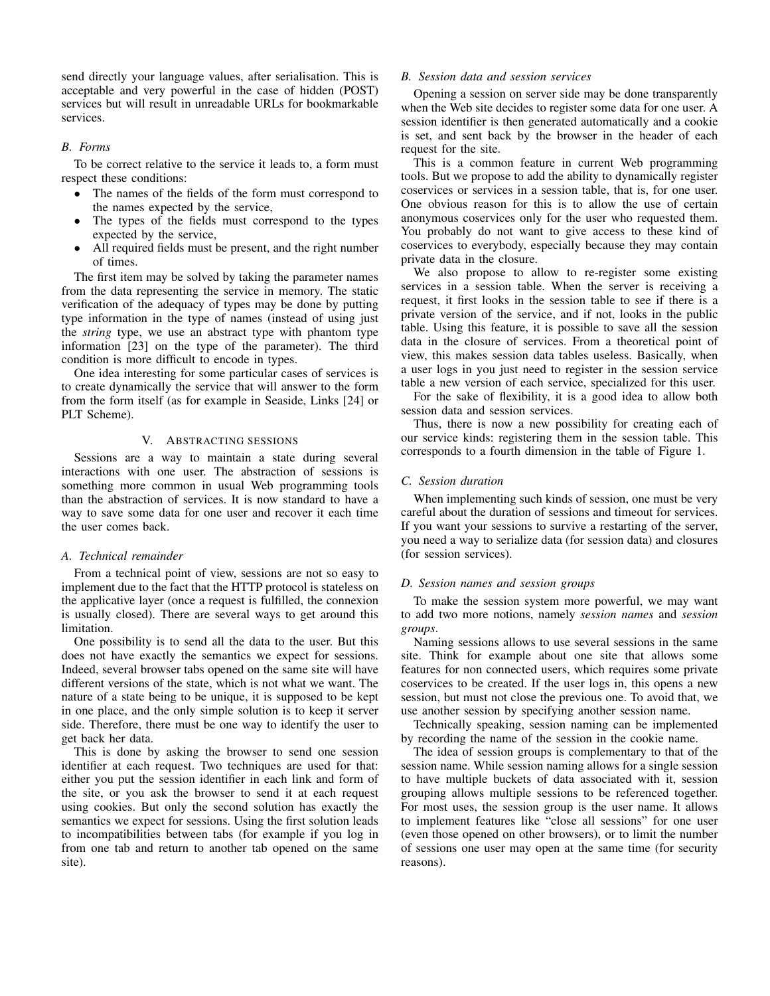send directly your language values, after serialisation. This is acceptable and very powerful in the case of hidden (POST) services but will result in unreadable URLs for bookmarkable services.

# *B. Forms*

To be correct relative to the service it leads to, a form must respect these conditions:

- The names of the fields of the form must correspond to the names expected by the service,
- The types of the fields must correspond to the types expected by the service,
- All required fields must be present, and the right number of times.

The first item may be solved by taking the parameter names from the data representing the service in memory. The static verification of the adequacy of types may be done by putting type information in the type of names (instead of using just the *string* type, we use an abstract type with phantom type information [23] on the type of the parameter). The third condition is more difficult to encode in types.

One idea interesting for some particular cases of services is to create dynamically the service that will answer to the form from the form itself (as for example in Seaside, Links [24] or PLT Scheme).

## V. ABSTRACTING SESSIONS

Sessions are a way to maintain a state during several interactions with one user. The abstraction of sessions is something more common in usual Web programming tools than the abstraction of services. It is now standard to have a way to save some data for one user and recover it each time the user comes back.

## *A. Technical remainder*

From a technical point of view, sessions are not so easy to implement due to the fact that the HTTP protocol is stateless on the applicative layer (once a request is fulfilled, the connexion is usually closed). There are several ways to get around this limitation.

One possibility is to send all the data to the user. But this does not have exactly the semantics we expect for sessions. Indeed, several browser tabs opened on the same site will have different versions of the state, which is not what we want. The nature of a state being to be unique, it is supposed to be kept in one place, and the only simple solution is to keep it server side. Therefore, there must be one way to identify the user to get back her data.

This is done by asking the browser to send one session identifier at each request. Two techniques are used for that: either you put the session identifier in each link and form of the site, or you ask the browser to send it at each request using cookies. But only the second solution has exactly the semantics we expect for sessions. Using the first solution leads to incompatibilities between tabs (for example if you log in from one tab and return to another tab opened on the same site).

# *B. Session data and session services*

Opening a session on server side may be done transparently when the Web site decides to register some data for one user. A session identifier is then generated automatically and a cookie is set, and sent back by the browser in the header of each request for the site.

This is a common feature in current Web programming tools. But we propose to add the ability to dynamically register coservices or services in a session table, that is, for one user. One obvious reason for this is to allow the use of certain anonymous coservices only for the user who requested them. You probably do not want to give access to these kind of coservices to everybody, especially because they may contain private data in the closure.

We also propose to allow to re-register some existing services in a session table. When the server is receiving a request, it first looks in the session table to see if there is a private version of the service, and if not, looks in the public table. Using this feature, it is possible to save all the session data in the closure of services. From a theoretical point of view, this makes session data tables useless. Basically, when a user logs in you just need to register in the session service table a new version of each service, specialized for this user.

For the sake of flexibility, it is a good idea to allow both session data and session services.

Thus, there is now a new possibility for creating each of our service kinds: registering them in the session table. This corresponds to a fourth dimension in the table of Figure 1.

## *C. Session duration*

When implementing such kinds of session, one must be very careful about the duration of sessions and timeout for services. If you want your sessions to survive a restarting of the server, you need a way to serialize data (for session data) and closures (for session services).

## *D. Session names and session groups*

To make the session system more powerful, we may want to add two more notions, namely *session names* and *session groups*.

Naming sessions allows to use several sessions in the same site. Think for example about one site that allows some features for non connected users, which requires some private coservices to be created. If the user logs in, this opens a new session, but must not close the previous one. To avoid that, we use another session by specifying another session name.

Technically speaking, session naming can be implemented by recording the name of the session in the cookie name.

The idea of session groups is complementary to that of the session name. While session naming allows for a single session to have multiple buckets of data associated with it, session grouping allows multiple sessions to be referenced together. For most uses, the session group is the user name. It allows to implement features like "close all sessions" for one user (even those opened on other browsers), or to limit the number of sessions one user may open at the same time (for security reasons).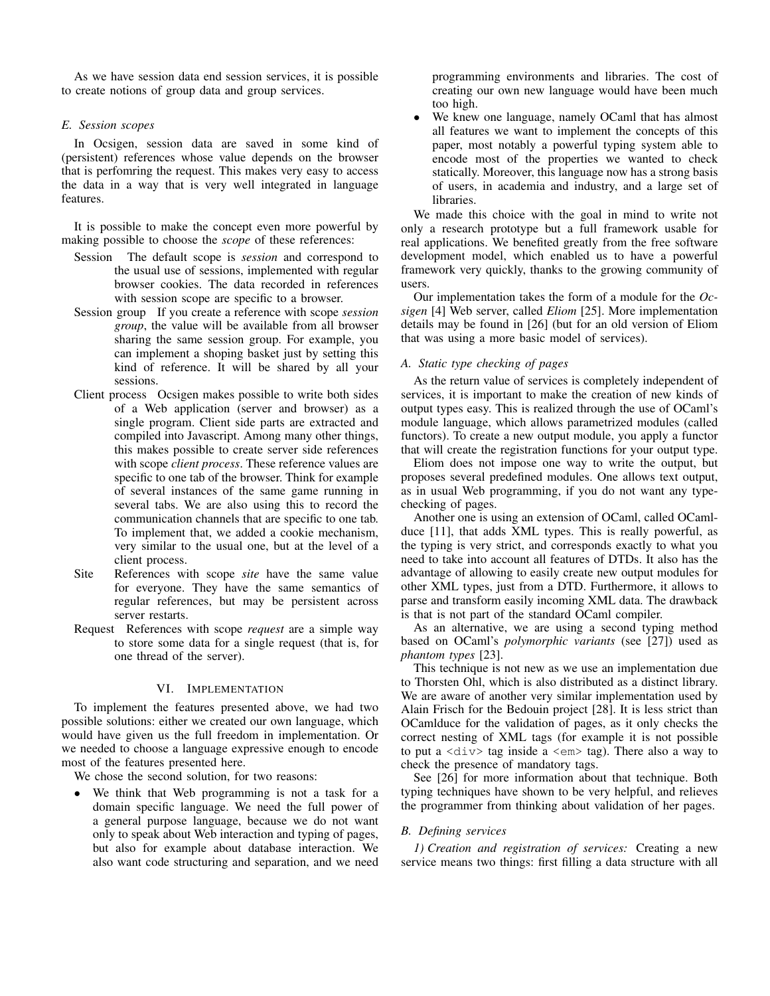As we have session data end session services, it is possible to create notions of group data and group services.

# *E. Session scopes*

In Ocsigen, session data are saved in some kind of (persistent) references whose value depends on the browser that is perfomring the request. This makes very easy to access the data in a way that is very well integrated in language features.

It is possible to make the concept even more powerful by making possible to choose the *scope* of these references:

- Session The default scope is *session* and correspond to the usual use of sessions, implemented with regular browser cookies. The data recorded in references with session scope are specific to a browser.
- Session group If you create a reference with scope *session group*, the value will be available from all browser sharing the same session group. For example, you can implement a shoping basket just by setting this kind of reference. It will be shared by all your sessions.
- Client process Ocsigen makes possible to write both sides of a Web application (server and browser) as a single program. Client side parts are extracted and compiled into Javascript. Among many other things, this makes possible to create server side references with scope *client process*. These reference values are specific to one tab of the browser. Think for example of several instances of the same game running in several tabs. We are also using this to record the communication channels that are specific to one tab. To implement that, we added a cookie mechanism, very similar to the usual one, but at the level of a client process.
- Site References with scope *site* have the same value for everyone. They have the same semantics of regular references, but may be persistent across server restarts.
- Request References with scope *request* are a simple way to store some data for a single request (that is, for one thread of the server).

# VI. IMPLEMENTATION

To implement the features presented above, we had two possible solutions: either we created our own language, which would have given us the full freedom in implementation. Or we needed to choose a language expressive enough to encode most of the features presented here.

We chose the second solution, for two reasons:

We think that Web programming is not a task for a domain specific language. We need the full power of a general purpose language, because we do not want only to speak about Web interaction and typing of pages, but also for example about database interaction. We also want code structuring and separation, and we need

programming environments and libraries. The cost of creating our own new language would have been much too high.

We knew one language, namely OCaml that has almost all features we want to implement the concepts of this paper, most notably a powerful typing system able to encode most of the properties we wanted to check statically. Moreover, this language now has a strong basis of users, in academia and industry, and a large set of libraries.

We made this choice with the goal in mind to write not only a research prototype but a full framework usable for real applications. We benefited greatly from the free software development model, which enabled us to have a powerful framework very quickly, thanks to the growing community of users.

Our implementation takes the form of a module for the *Ocsigen* [4] Web server, called *Eliom* [25]. More implementation details may be found in [26] (but for an old version of Eliom that was using a more basic model of services).

# *A. Static type checking of pages*

As the return value of services is completely independent of services, it is important to make the creation of new kinds of output types easy. This is realized through the use of OCaml's module language, which allows parametrized modules (called functors). To create a new output module, you apply a functor that will create the registration functions for your output type.

Eliom does not impose one way to write the output, but proposes several predefined modules. One allows text output, as in usual Web programming, if you do not want any typechecking of pages.

Another one is using an extension of OCaml, called OCamlduce [11], that adds XML types. This is really powerful, as the typing is very strict, and corresponds exactly to what you need to take into account all features of DTDs. It also has the advantage of allowing to easily create new output modules for other XML types, just from a DTD. Furthermore, it allows to parse and transform easily incoming XML data. The drawback is that is not part of the standard OCaml compiler.

As an alternative, we are using a second typing method based on OCaml's *polymorphic variants* (see [27]) used as *phantom types* [23].

This technique is not new as we use an implementation due to Thorsten Ohl, which is also distributed as a distinct library. We are aware of another very similar implementation used by Alain Frisch for the Bedouin project [28]. It is less strict than OCamlduce for the validation of pages, as it only checks the correct nesting of XML tags (for example it is not possible to put a  $\langle \text{div} \rangle$  tag inside a  $\langle \text{em} \rangle$  tag). There also a way to check the presence of mandatory tags.

See [26] for more information about that technique. Both typing techniques have shown to be very helpful, and relieves the programmer from thinking about validation of her pages.

# *B. Defining services*

*1) Creation and registration of services:* Creating a new service means two things: first filling a data structure with all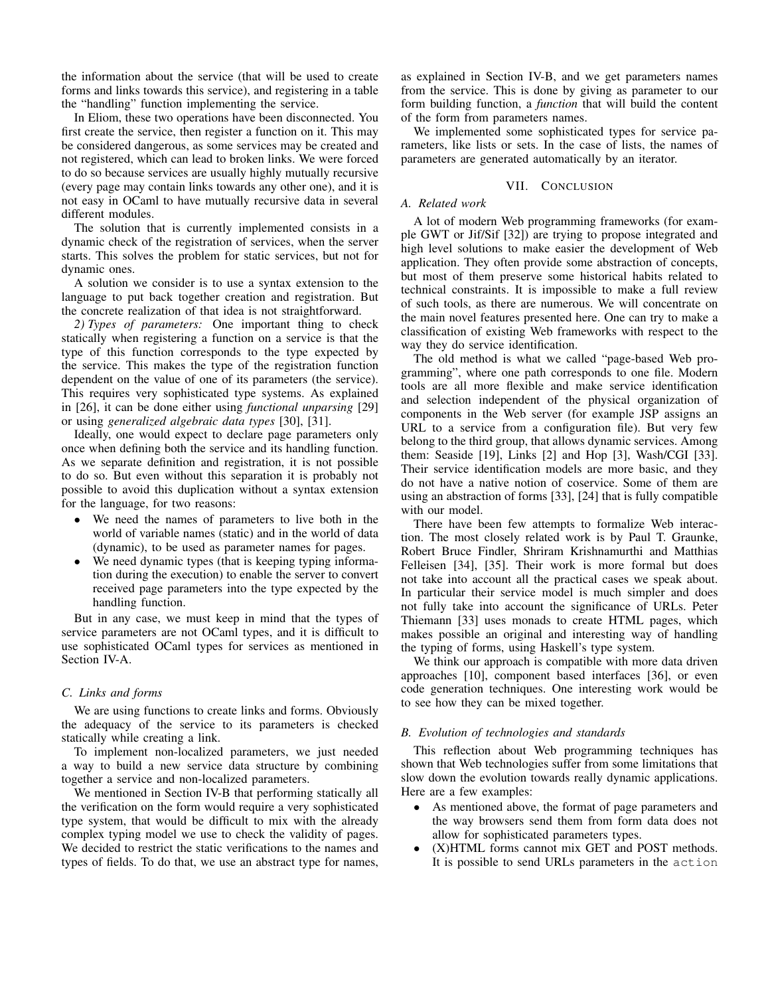the information about the service (that will be used to create forms and links towards this service), and registering in a table the "handling" function implementing the service.

In Eliom, these two operations have been disconnected. You first create the service, then register a function on it. This may be considered dangerous, as some services may be created and not registered, which can lead to broken links. We were forced to do so because services are usually highly mutually recursive (every page may contain links towards any other one), and it is not easy in OCaml to have mutually recursive data in several different modules.

The solution that is currently implemented consists in a dynamic check of the registration of services, when the server starts. This solves the problem for static services, but not for dynamic ones.

A solution we consider is to use a syntax extension to the language to put back together creation and registration. But the concrete realization of that idea is not straightforward.

*2) Types of parameters:* One important thing to check statically when registering a function on a service is that the type of this function corresponds to the type expected by the service. This makes the type of the registration function dependent on the value of one of its parameters (the service). This requires very sophisticated type systems. As explained in [26], it can be done either using *functional unparsing* [29] or using *generalized algebraic data types* [30], [31].

Ideally, one would expect to declare page parameters only once when defining both the service and its handling function. As we separate definition and registration, it is not possible to do so. But even without this separation it is probably not possible to avoid this duplication without a syntax extension for the language, for two reasons:

- We need the names of parameters to live both in the world of variable names (static) and in the world of data (dynamic), to be used as parameter names for pages.
- We need dynamic types (that is keeping typing information during the execution) to enable the server to convert received page parameters into the type expected by the handling function.

But in any case, we must keep in mind that the types of service parameters are not OCaml types, and it is difficult to use sophisticated OCaml types for services as mentioned in Section IV-A.

## *C. Links and forms*

We are using functions to create links and forms. Obviously the adequacy of the service to its parameters is checked statically while creating a link.

To implement non-localized parameters, we just needed a way to build a new service data structure by combining together a service and non-localized parameters.

We mentioned in Section IV-B that performing statically all the verification on the form would require a very sophisticated type system, that would be difficult to mix with the already complex typing model we use to check the validity of pages. We decided to restrict the static verifications to the names and types of fields. To do that, we use an abstract type for names, as explained in Section IV-B, and we get parameters names from the service. This is done by giving as parameter to our form building function, a *function* that will build the content of the form from parameters names.

We implemented some sophisticated types for service parameters, like lists or sets. In the case of lists, the names of parameters are generated automatically by an iterator.

## VII. CONCLUSION

## *A. Related work*

A lot of modern Web programming frameworks (for example GWT or Jif/Sif [32]) are trying to propose integrated and high level solutions to make easier the development of Web application. They often provide some abstraction of concepts, but most of them preserve some historical habits related to technical constraints. It is impossible to make a full review of such tools, as there are numerous. We will concentrate on the main novel features presented here. One can try to make a classification of existing Web frameworks with respect to the way they do service identification.

The old method is what we called "page-based Web programming", where one path corresponds to one file. Modern tools are all more flexible and make service identification and selection independent of the physical organization of components in the Web server (for example JSP assigns an URL to a service from a configuration file). But very few belong to the third group, that allows dynamic services. Among them: Seaside [19], Links [2] and Hop [3], Wash/CGI [33]. Their service identification models are more basic, and they do not have a native notion of coservice. Some of them are using an abstraction of forms [33], [24] that is fully compatible with our model.

There have been few attempts to formalize Web interaction. The most closely related work is by Paul T. Graunke, Robert Bruce Findler, Shriram Krishnamurthi and Matthias Felleisen [34], [35]. Their work is more formal but does not take into account all the practical cases we speak about. In particular their service model is much simpler and does not fully take into account the significance of URLs. Peter Thiemann [33] uses monads to create HTML pages, which makes possible an original and interesting way of handling the typing of forms, using Haskell's type system.

We think our approach is compatible with more data driven approaches [10], component based interfaces [36], or even code generation techniques. One interesting work would be to see how they can be mixed together.

## *B. Evolution of technologies and standards*

This reflection about Web programming techniques has shown that Web technologies suffer from some limitations that slow down the evolution towards really dynamic applications. Here are a few examples:

- As mentioned above, the format of page parameters and the way browsers send them from form data does not allow for sophisticated parameters types.
- (X)HTML forms cannot mix GET and POST methods. It is possible to send URLs parameters in the action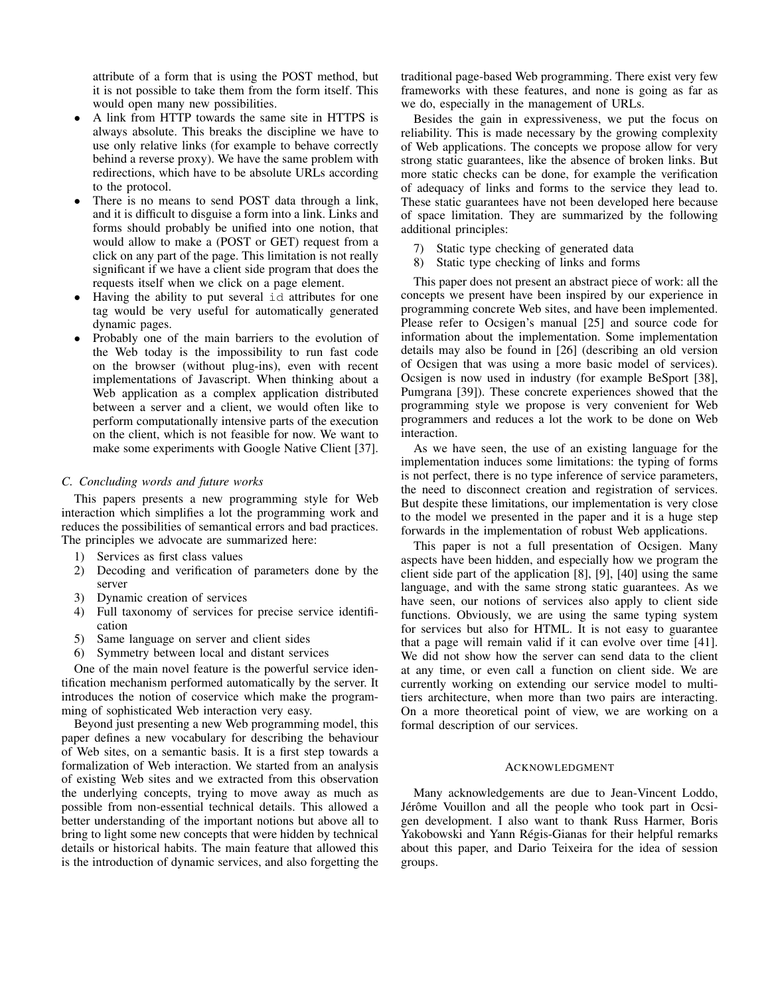attribute of a form that is using the POST method, but it is not possible to take them from the form itself. This would open many new possibilities.

- A link from HTTP towards the same site in HTTPS is always absolute. This breaks the discipline we have to use only relative links (for example to behave correctly behind a reverse proxy). We have the same problem with redirections, which have to be absolute URLs according to the protocol.
- There is no means to send POST data through a link, and it is difficult to disguise a form into a link. Links and forms should probably be unified into one notion, that would allow to make a (POST or GET) request from a click on any part of the page. This limitation is not really significant if we have a client side program that does the requests itself when we click on a page element.
- Having the ability to put several id attributes for one tag would be very useful for automatically generated dynamic pages.
- Probably one of the main barriers to the evolution of the Web today is the impossibility to run fast code on the browser (without plug-ins), even with recent implementations of Javascript. When thinking about a Web application as a complex application distributed between a server and a client, we would often like to perform computationally intensive parts of the execution on the client, which is not feasible for now. We want to make some experiments with Google Native Client [37].

#### *C. Concluding words and future works*

This papers presents a new programming style for Web interaction which simplifies a lot the programming work and reduces the possibilities of semantical errors and bad practices. The principles we advocate are summarized here:

- 1) Services as first class values
- 2) Decoding and verification of parameters done by the server
- 3) Dynamic creation of services
- 4) Full taxonomy of services for precise service identification
- 5) Same language on server and client sides
- 6) Symmetry between local and distant services

One of the main novel feature is the powerful service identification mechanism performed automatically by the server. It introduces the notion of coservice which make the programming of sophisticated Web interaction very easy.

Beyond just presenting a new Web programming model, this paper defines a new vocabulary for describing the behaviour of Web sites, on a semantic basis. It is a first step towards a formalization of Web interaction. We started from an analysis of existing Web sites and we extracted from this observation the underlying concepts, trying to move away as much as possible from non-essential technical details. This allowed a better understanding of the important notions but above all to bring to light some new concepts that were hidden by technical details or historical habits. The main feature that allowed this is the introduction of dynamic services, and also forgetting the traditional page-based Web programming. There exist very few frameworks with these features, and none is going as far as we do, especially in the management of URLs.

Besides the gain in expressiveness, we put the focus on reliability. This is made necessary by the growing complexity of Web applications. The concepts we propose allow for very strong static guarantees, like the absence of broken links. But more static checks can be done, for example the verification of adequacy of links and forms to the service they lead to. These static guarantees have not been developed here because of space limitation. They are summarized by the following additional principles:

- 7) Static type checking of generated data
- 8) Static type checking of links and forms

This paper does not present an abstract piece of work: all the concepts we present have been inspired by our experience in programming concrete Web sites, and have been implemented. Please refer to Ocsigen's manual [25] and source code for information about the implementation. Some implementation details may also be found in [26] (describing an old version of Ocsigen that was using a more basic model of services). Ocsigen is now used in industry (for example BeSport [38], Pumgrana [39]). These concrete experiences showed that the programming style we propose is very convenient for Web programmers and reduces a lot the work to be done on Web interaction.

As we have seen, the use of an existing language for the implementation induces some limitations: the typing of forms is not perfect, there is no type inference of service parameters, the need to disconnect creation and registration of services. But despite these limitations, our implementation is very close to the model we presented in the paper and it is a huge step forwards in the implementation of robust Web applications.

This paper is not a full presentation of Ocsigen. Many aspects have been hidden, and especially how we program the client side part of the application [8], [9], [40] using the same language, and with the same strong static guarantees. As we have seen, our notions of services also apply to client side functions. Obviously, we are using the same typing system for services but also for HTML. It is not easy to guarantee that a page will remain valid if it can evolve over time [41]. We did not show how the server can send data to the client at any time, or even call a function on client side. We are currently working on extending our service model to multitiers architecture, when more than two pairs are interacting. On a more theoretical point of view, we are working on a formal description of our services.

## ACKNOWLEDGMENT

Many acknowledgements are due to Jean-Vincent Loddo, Jérôme Vouillon and all the people who took part in Ocsigen development. I also want to thank Russ Harmer, Boris Yakobowski and Yann Régis-Gianas for their helpful remarks about this paper, and Dario Teixeira for the idea of session groups.